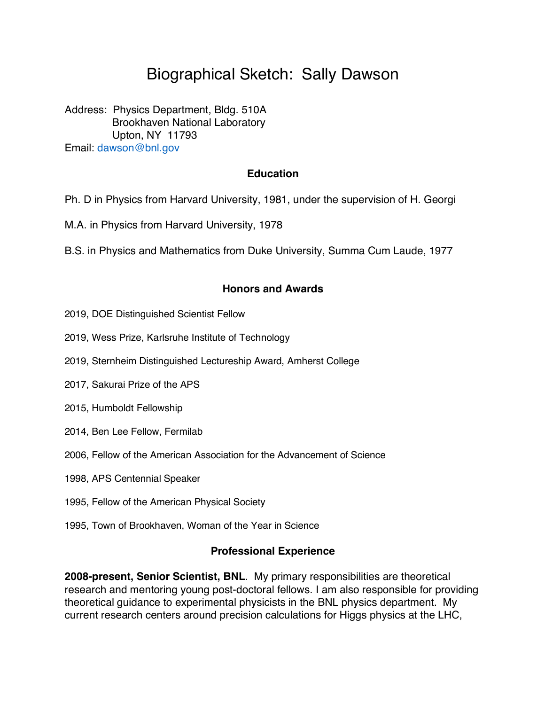# Biographical Sketch: Sally Dawson

Address: Physics Department, Bldg. 510A Brookhaven National Laboratory Upton, NY 11793 Email: dawson@bnl.gov

### **Education**

Ph. D in Physics from Harvard University, 1981, under the supervision of H. Georgi

M.A. in Physics from Harvard University, 1978

B.S. in Physics and Mathematics from Duke University, Summa Cum Laude, 1977

### **Honors and Awards**

- 2019, DOE Distinguished Scientist Fellow
- 2019, Wess Prize, Karlsruhe Institute of Technology
- 2019, Sternheim Distinguished Lectureship Award, Amherst College
- 2017, Sakurai Prize of the APS
- 2015, Humboldt Fellowship
- 2014, Ben Lee Fellow, Fermilab
- 2006, Fellow of the American Association for the Advancement of Science
- 1998, APS Centennial Speaker
- 1995, Fellow of the American Physical Society
- 1995, Town of Brookhaven, Woman of the Year in Science

#### **Professional Experience**

**2008-present, Senior Scientist, BNL**. My primary responsibilities are theoretical research and mentoring young post-doctoral fellows. I am also responsible for providing theoretical guidance to experimental physicists in the BNL physics department. My current research centers around precision calculations for Higgs physics at the LHC,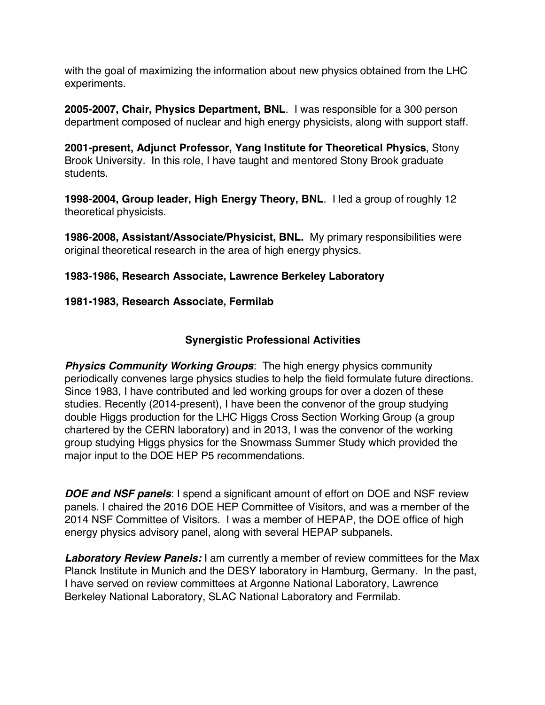with the goal of maximizing the information about new physics obtained from the LHC experiments.

**2005-2007, Chair, Physics Department, BNL**. I was responsible for a 300 person department composed of nuclear and high energy physicists, along with support staff.

**2001-present, Adjunct Professor, Yang Institute for Theoretical Physics**, Stony Brook University. In this role, I have taught and mentored Stony Brook graduate students.

**1998-2004, Group leader, High Energy Theory, BNL**. I led a group of roughly 12 theoretical physicists.

**1986-2008, Assistant/Associate/Physicist, BNL.** My primary responsibilities were original theoretical research in the area of high energy physics.

## **1983-1986, Research Associate, Lawrence Berkeley Laboratory**

## **1981-1983, Research Associate, Fermilab**

# **Synergistic Professional Activities**

**Physics Community Working Groups:** The high energy physics community periodically convenes large physics studies to help the field formulate future directions. Since 1983, I have contributed and led working groups for over a dozen of these studies. Recently (2014-present), I have been the convenor of the group studying double Higgs production for the LHC Higgs Cross Section Working Group (a group chartered by the CERN laboratory) and in 2013, I was the convenor of the working group studying Higgs physics for the Snowmass Summer Study which provided the major input to the DOE HEP P5 recommendations.

*DOE and NSF panels*: I spend a significant amount of effort on DOE and NSF review panels. I chaired the 2016 DOE HEP Committee of Visitors, and was a member of the 2014 NSF Committee of Visitors. I was a member of HEPAP, the DOE office of high energy physics advisory panel, along with several HEPAP subpanels.

*Laboratory Review Panels:* I am currently a member of review committees for the Max Planck Institute in Munich and the DESY laboratory in Hamburg, Germany. In the past, I have served on review committees at Argonne National Laboratory, Lawrence Berkeley National Laboratory, SLAC National Laboratory and Fermilab.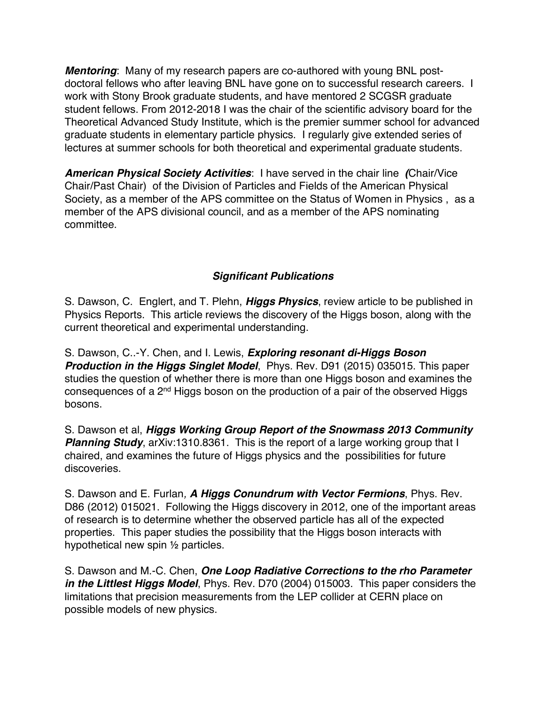*Mentoring*: Many of my research papers are co-authored with young BNL postdoctoral fellows who after leaving BNL have gone on to successful research careers. I work with Stony Brook graduate students, and have mentored 2 SCGSR graduate student fellows. From 2012-2018 I was the chair of the scientific advisory board for the Theoretical Advanced Study Institute, which is the premier summer school for advanced graduate students in elementary particle physics. I regularly give extended series of lectures at summer schools for both theoretical and experimental graduate students.

*American Physical Society Activities*: I have served in the chair line *(*Chair/Vice Chair/Past Chair) of the Division of Particles and Fields of the American Physical Society, as a member of the APS committee on the Status of Women in Physics , as a member of the APS divisional council, and as a member of the APS nominating committee.

# *Significant Publications*

S. Dawson, C. Englert, and T. Plehn, *Higgs Physics*, review article to be published in Physics Reports. This article reviews the discovery of the Higgs boson, along with the current theoretical and experimental understanding.

S. Dawson, C..-Y. Chen, and I. Lewis, *Exploring resonant di-Higgs Boson Production in the Higgs Singlet Model*, Phys. Rev. D91 (2015) 035015. This paper studies the question of whether there is more than one Higgs boson and examines the consequences of a  $2<sup>nd</sup>$  Higgs boson on the production of a pair of the observed Higgs bosons.

S. Dawson et al, *Higgs Working Group Report of the Snowmass 2013 Community*  **Planning Study**, arXiv:1310.8361. This is the report of a large working group that I chaired, and examines the future of Higgs physics and the possibilities for future discoveries.

S. Dawson and E. Furlan*, A Higgs Conundrum with Vector Fermions*, Phys. Rev. D86 (2012) 015021. Following the Higgs discovery in 2012, one of the important areas of research is to determine whether the observed particle has all of the expected properties. This paper studies the possibility that the Higgs boson interacts with hypothetical new spin ½ particles.

S. Dawson and M.-C. Chen, *One Loop Radiative Corrections to the rho Parameter in the Littlest Higgs Model*, Phys. Rev. D70 (2004) 015003. This paper considers the limitations that precision measurements from the LEP collider at CERN place on possible models of new physics.